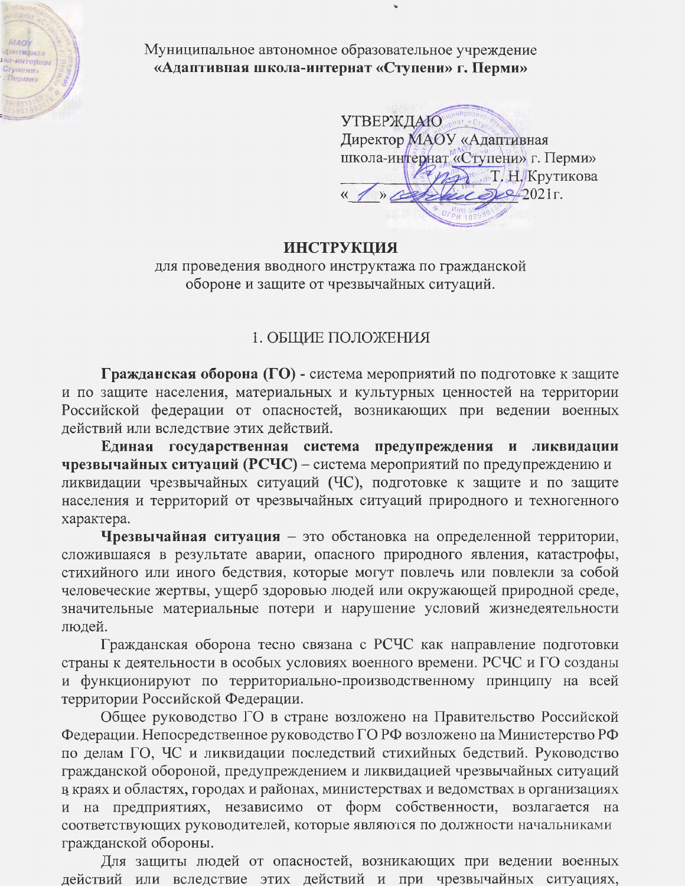

Муниципальное автономное образовательное учреждение «Адаптивная школа-интернат «Ступени» г. Перми»

**УТВЕРЖДАЮ** С ПРИ ССТ Директор **МАОУ** «Адаптивная школа-интернат «Ступени» г. Перми» ИЗЭ Т. Н. Крутикова  $\approx 2021$ r.

### **ИНСТРУКЦИЯ**

для проведения вводного инструктажа по гражданской обороне и защите от чрезвычайных ситуаций.

## 1. ОБЩИЕ ПОЛОЖЕНИЯ

Гражданская оборона (ГО) - система мероприятий по подготовке к защите и по защите населения, материальных и культурных ценностей на территории Российской федерации от опасностей, возникающих при ведении военных действий или вследствие этих действий.

Единая государственная система предупреждения и ликвидации чрезвычайных ситуаций (РСЧС) – система мероприятий по предупреждению и ликвидации чрезвычайных ситуаций (ЧС), подготовке к защите и по защите населения и территорий от чрезвычайных ситуаций природного и техногенного характера.

Чрезвычайная ситуация - это обстановка на определенной территории, сложившаяся в результате аварии, опасного природного явления, катастрофы, стихийного или иного бедствия, которые могут повлечь или повлекли за собой человеческие жертвы, ущерб здоровью людей или окружающей природной среде, значительные материальные потери и нарушение условий жизнедеятельности людей.

Гражданская оборона тесно связана с РСЧС как направление подготовки страны к деятельности в особых условиях военного времени. РСЧС и ГО созданы и функционируют по территориально-производственному принципу на всей территории Российской Федерации.

Общее руководство ГО в стране возложено на Правительство Российской Федерации. Непосредственное руководство ГО РФ возложено на Министерство РФ по делам ГО, ЧС и ликвидации последствий стихийных бедствий. Руководство гражданской обороной, предупреждением и ликвидацией чрезвычайных ситуаций в краях и областях, городах и районах, министерствах и ведомствах в организациях и на предприятиях, независимо от форм собственности, возлагается на соответствующих руководителей, которые являются по должности начальниками гражданской обороны.

Для защиты людей от опасностей, возникающих при ведении военных действий или вследствие этих действий и при чрезвычайных ситуациях,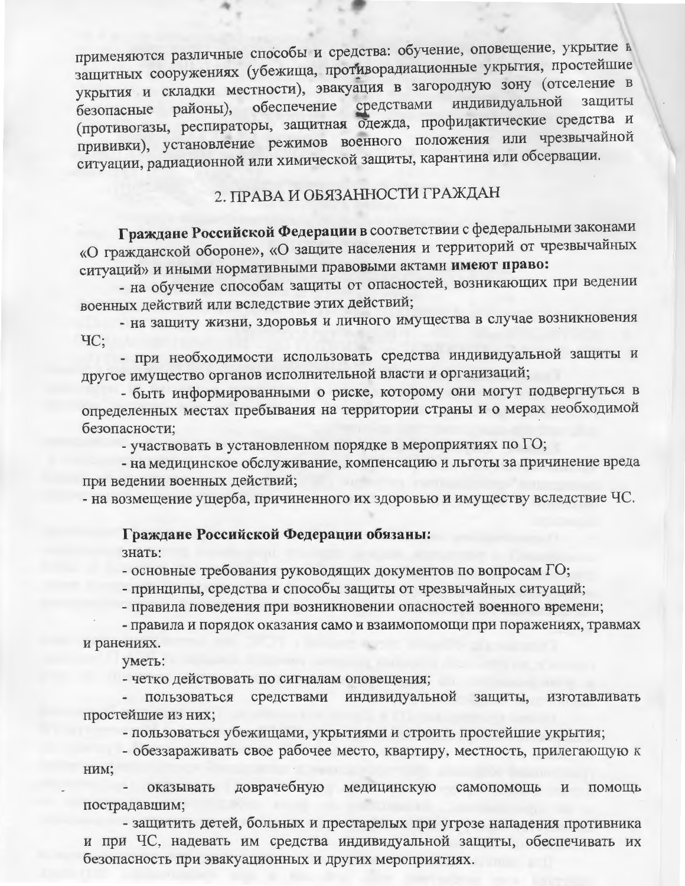применяются различные способы и средства: обучение, оповещение, укрытие в защитных сооружениях (убежища, противорадиационные укрытия, простейшие укрытия и складки местности), эвакуация в загородную зону (отселение в индивидуальной зашиты средствами обеспечение районы), безопасные (противогазы, респираторы, защитная одежда, профилактические средства и прививки), установление режимов военного положения или чрезвычайной ситуации, радиационной или химической защиты, карантина или обсервации.

# 2. ПРАВА И ОБЯЗАННОСТИ ГРАЖДАН

Граждане Российской Федерации в соответствии с федеральными законами «О гражданской обороне», «О защите населения и территорий от чрезвычайных ситуаций» и иными нормативными правовыми актами имеют право:

- на обучение способам защиты от опасностей, возникающих при ведении военных действий или вследствие этих действий;

- на защиту жизни, здоровья и личного имущества в случае возникновения  $\mathrm{4C}$ :

- при необходимости использовать средства индивидуальной защиты и другое имущество органов исполнительной власти и организаций;

- быть информированными о риске, которому они могут подвергнуться в определенных местах пребывания на территории страны и о мерах необходимой безопасности:

- участвовать в установленном порядке в мероприятиях по ГО;

- на медицинское обслуживание, компенсацию и льготы за причинение вреда при ведении военных действий;

- на возмещение ущерба, причиненного их здоровью и имуществу вследствие ЧС.

## Граждане Российской Федерации обязаны:

знать:

- основные требования руководящих документов по вопросам  $\Gamma O$ ;

- принципы, средства и способы защиты от чрезвычайных ситуаций;

- правила поведения при возникновении опасностей военного времени;

- правила и порядок оказания само и взаимопомощи при поражениях, травмах и ранениях.

уметь:

- четко действовать по сигналам оповещения;

пользоваться средствами индивидуальной защиты, изготавливать простейшие из них;

- пользоваться убежищами, укрытиями и строить простейшие укрытия;

- обеззараживать свое рабочее место, квартиру, местность, прилегающую к НИМ;

оказывать доврачебную медицинскую самопомощь  $\,$  M ПОМОЩЬ пострадавшим;

- защитить детей, больных и престарелых при угрозе нападения противника и при ЧС, надевать им средства индивидуальной защиты, обеспечивать их безопасность при эвакуационных и других мероприятиях.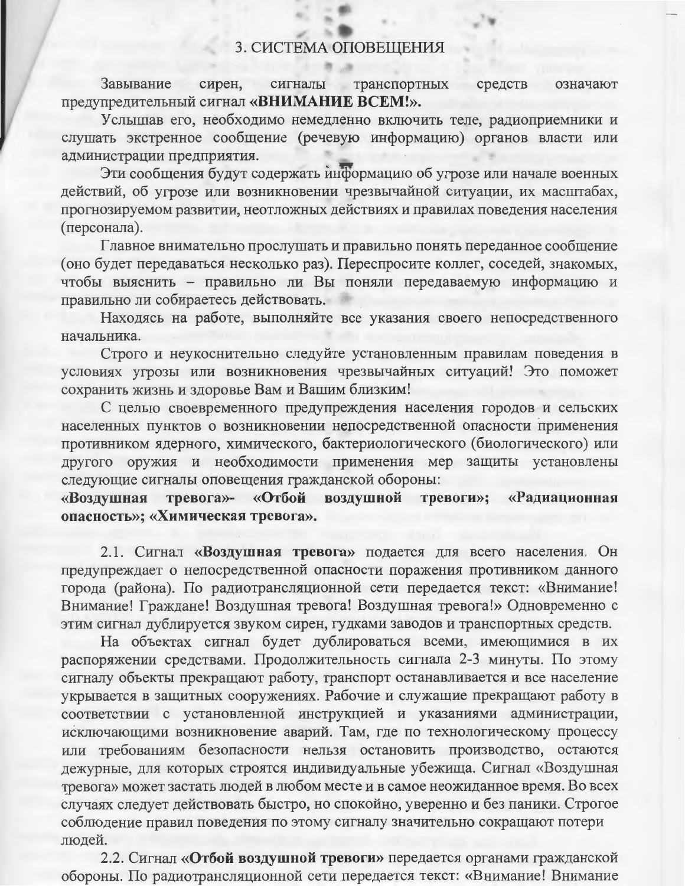#### 3. СИСТЕМА ОПОВЕЩЕНИЯ

Завывание сирен, сигналы транспортных средств означают предупредительный сигнал «ВНИМАНИЕ ВСЕМ!».

Услышав его, необходимо немедленно включить теле, радиоприемники и слушать экстренное сообщение (речевую информацию) органов власти или алминистрации предприятия.

Эти сообщения будут содержать информацию об угрозе или начале военных действий, об угрозе или возникновении чрезвычайной ситуации, их масштабах, прогнозируемом развитии, неотложных действиях и правилах поведения населения (персонала).

Главное внимательно прослушать и правильно понять переданное сообщение (оно будет передаваться несколько раз). Переспросите коллег, соседей, знакомых, чтобы выяснить - правильно ли Вы поняли передаваемую информацию и правильно ли собираетесь действовать.

Находясь на работе, выполняйте все указания своего непосредственного начальника.

Строго и неукоснительно следуйте установленным правилам поведения в условиях угрозы или возникновения чрезвычайных ситуаций! Это поможет сохранить жизнь и здоровье Вам и Вашим близким!

С целью своевременного предупреждения населения городов и сельских населенных пунктов о возникновении непосредственной опасности применения противником ядерного, химического, бактериологического (биологического) или другого оружия и необходимости применения мер защиты установлены следующие сигналы оповещения гражданской обороны:

«Воздушная тревога»- «Отбой воздушной тревоги»; «Радиационная опасность»; «Химическая тревога».

2.1. Сигнал «Воздушная тревога» подается для всего населения. Он предупреждает о непосредственной опасности поражения противником данного города (района). По радиотрансляционной сети передается текст: «Внимание! Внимание! Граждане! Воздушная тревога! Воздушная тревога!» Одновременно с этим сигнал дублируется звуком сирен, гудками заводов и транспортных средств.

На объектах сигнал будет дублироваться всеми, имеющимися в их распоряжении средствами. Продолжительность сигнала 2-3 минуты. По этому сигналу объекты прекращают работу, транспорт останавливается и все население укрывается в защитных сооружениях. Рабочие и служащие прекращают работу в соответствии с установленной инструкцией и указаниями администрации, исключающими возникновение аварий. Там, где по технологическому процессу или требованиям безопасности нельзя остановить производство, остаются дежурные, для которых строятся индивидуальные убежища. Сигнал «Воздушная тревога» может застать людей в любом месте и в самое неожиданное время. Во всех случаях следует действовать быстро, но спокойно, уверенно и без паники. Строгое соблюдение правил поведения по этому сигналу значительно сокращают потери людей.

2.2. Сигнал «Отбой воздушной тревоги» передается органами гражданской обороны. По радиотрансляционной сети передается текст: «Внимание! Внимание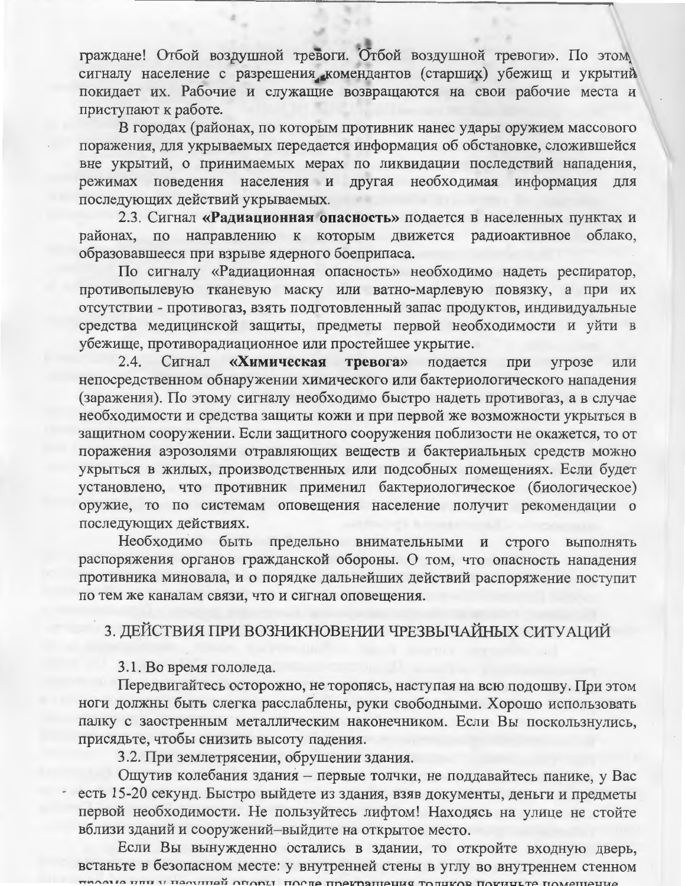граждане! Отбой воздушной тревоги. Отбой воздушной тревоги». По этом сигналу население с разрешения комендантов (старших) убежищ и укрытий покидает их. Рабочие и служащие возвращаются на свои рабочие места и приступают к работе.

В городах (районах, по которым противник нанес удары оружием массового поражения, для укрываемых передается информация об обстановке, сложившейся вне укрытий, о принимаемых мерах по ликвидации последствий нападения, режимах поведения населения и другая необходимая информация для последующих действий укрываемых.

2.3. Сигнал «Радиационная опасность» подается в населенных пунктах и районах, по направлению к которым движется радиоактивное облако, образовавшееся при взрыве ядерного боеприпаса.

По сигналу «Радиационная опасность» необходимо надеть респиратор, противопылевую тканевую маску или ватно-марлевую повязку, а при их отсутствии - противогаз, взять подготовленный запас продуктов, индивидуальные средства медицинской защиты, предметы первой необходимости и уйти в убежище, противорадиационное или простейшее укрытие.

 $2.4.$ Сигнал «Химическая тревога» подается при угрозе или непосредственном обнаружении химического или бактериологического нападения (заражения). По этому сигналу необходимо быстро надеть противогаз, а в случае необходимости и средства защиты кожи и при первой же возможности укрыться в защитном сооружении. Если защитного сооружения поблизости не окажется, то от поражения аэрозолями отравляющих веществ и бактериальных средств можно укрыться в жилых, производственных или подсобных помещениях. Если будет установлено, что противник применил бактериологическое (биологическое) оружие, то по системам оповещения население получит рекомендации о последующих действиях.

Необходимо быть предельно внимательными и строго выполнять распоряжения органов гражданской обороны. О том, что опасность нападения противника миновала, и о порядке дальнейших действий распоряжение поступит по тем же каналам связи, что и сигнал оповещения.

## 3. ДЕЙСТВИЯ ПРИ ВОЗНИКНОВЕНИИ ЧРЕЗВЫЧАЙНЫХ СИТУАЦИЙ

### 3.1. Во время гололеда.

Передвигайтесь осторожно, не торопясь, наступая на всю подошву. При этом ноги должны быть слегка расслаблены, руки свободными. Хорошо использовать палку с заостренным металлическим наконечником. Если Вы поскользнулись, присядьте, чтобы снизить высоту падения.

3.2. При землетрясении, обрушении здания.

Ощутив колебания здания - первые толчки, не поддавайтесь панике, у Вас есть 15-20 секунд. Быстро выйдете из здания, взяв документы, деньги и предметы первой необходимости. Не пользуйтесь лифтом! Находясь на улице не стойте вблизи зданий и сооружений-выйдите на открытое место.

Если Вы вынужденно остались в здании, то откройте входную дверь, встаньте в безопасном месте: у внутренней стены в углу во внутреннем стенном THOAILA LITTI V HACVIIIAN OTODLI. TOCTA TOAKOSIIIAUNG TOTUKOR TOKHULTA TOMAILIAHA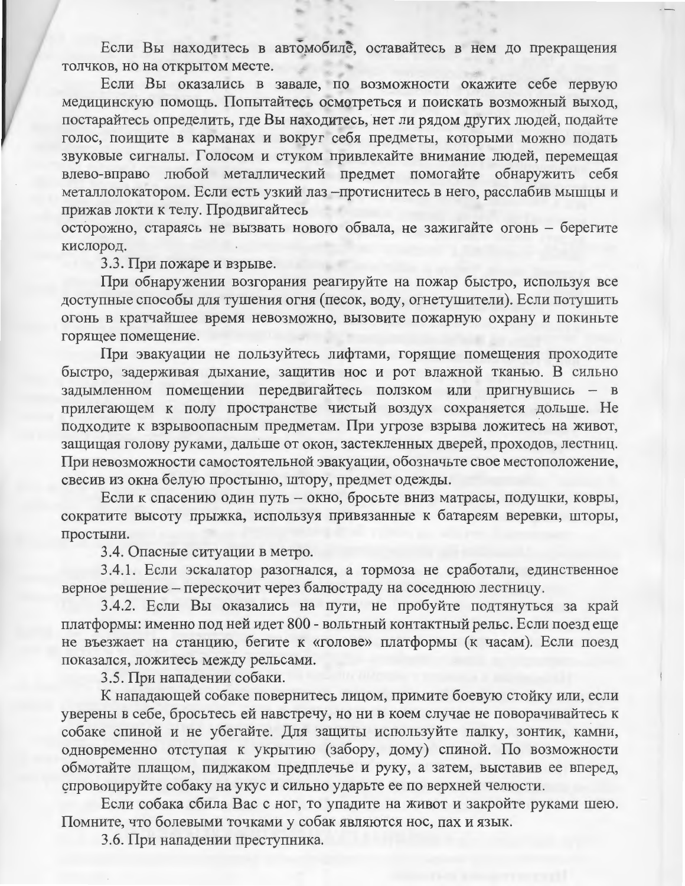Если Вы находитесь в автомобиле, оставайтесь в нем до прекращения толчков, но на открытом месте.

Если Вы оказались в завале, по возможности окажите себе первую медицинскую помощь. Попытайтесь осмотреться и поискать возможный выход, постарайтесь определить, где Вы находитесь, нет ли рядом других людей, подайте голос, поищите в карманах и вокруг себя предметы, которыми можно подать звуковые сигналы. Голосом и стуком привлекайте внимание людей, перемещая влево-вправо любой металлический предмет помогайте обнаружить себя металлолокатором. Если есть узкий лаз - протиснитесь в него, расслабив мышцы и прижав локти к телу. Продвигайтесь

осторожно, стараясь не вызвать нового обвала, не зажигайте огонь - берегите кислород.

3.3. При пожаре и взрыве.

При обнаружении возгорания реагируйте на пожар быстро, используя все доступные способы для тушения огня (песок, воду, огнетушители). Если потушить огонь в кратчайшее время невозможно, вызовите пожарную охрану и покиньте горящее помещение.

При эвакуации не пользуйтесь лифтами, горящие помещения проходите быстро, задерживая дыхание, защитив нос и рот влажной тканью. В сильно задымленном помещении передвигайтесь ползком или пригнувшись - в прилегающем к полу пространстве чистый воздух сохраняется дольше. Не подходите к взрывоопасным предметам. При угрозе взрыва ложитесь на живот, защищая голову руками, дальше от окон, застекленных дверей, проходов, лестниц. При невозможности самостоятельной эвакуации, обозначьте свое местоположение, свесив из окна белую простыню, штору, предмет одежды.

Если к спасению один путь - окно, бросьте вниз матрасы, подушки, ковры, сократите высоту прыжка, используя привязанные к батареям веревки, шторы, простыни.

3.4. Опасные ситуации в метро.

3.4.1. Если эскалатор разогнался, а тормоза не сработали, единственное верное решение - перескочит через балюстраду на соседнюю лестницу.

3.4.2. Если Вы оказались на пути, не пробуйте подтянуться за край платформы: именно под ней идет 800 - вольтный контактный рельс. Если поезд еще не въезжает на станцию, бегите к «голове» платформы (к часам). Если поезд показался, ложитесь между рельсами.

3.5. При нападении собаки.

К нападающей собаке повернитесь лицом, примите боевую стойку или, если уверены в себе, бросьтесь ей навстречу, но ни в коем случае не поворачивайтесь к собаке спиной и не убегайте. Для защиты используйте палку, зонтик, камни, одновременно отступая к укрытию (забору, дому) спиной. По возможности обмотайте плащом, пиджаком предплечье и руку, а затем, выставив ее вперед, спровоцируйте собаку на укус и сильно ударьте ее по верхней челюсти.

Если собака сбила Вас с ног, то упадите на живот и закройте руками шею. Помните, что болевыми точками у собак являются нос, пах и язык.

3.6. При нападении преступника.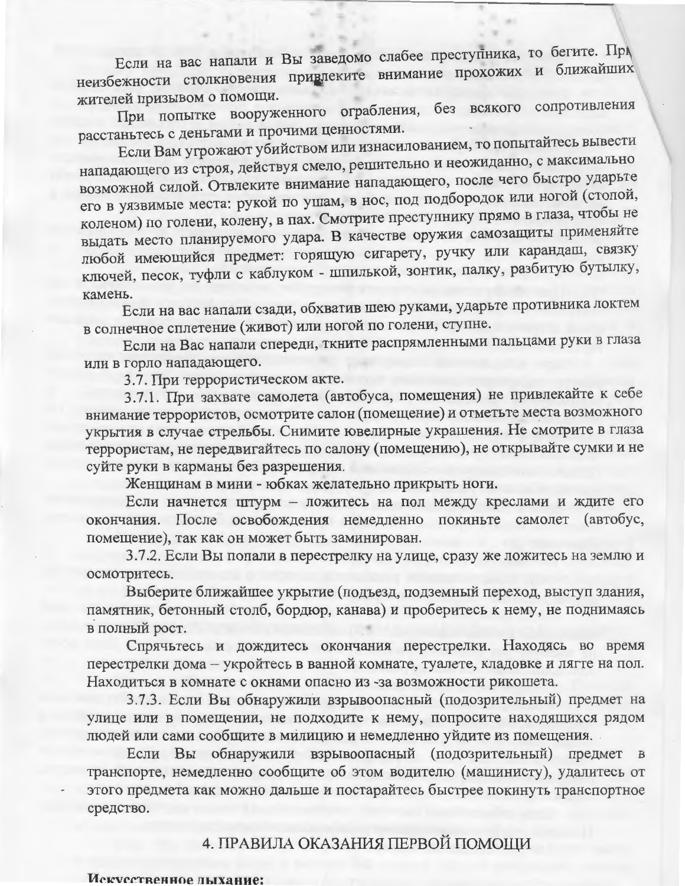Если на вас напали и Вы заведомо слабее преступника, то бегите. Прунеизбежности столкновения привлеките внимание прохожих и ближайших жителей призывом о помощи.

При попытке вооруженного ограбления, без всякого сопротивления расстаньтесь с деньгами и прочими ценностями.

Если Вам угрожают убийством или изнасилованием, то попытайтесь вывести нападающего из строя, действуя смело, решительно и неожиданно, с максимально возможной силой. Отвлеките внимание нападающего, после чего быстро ударьте его в уязвимые места: рукой по ушам, в нос, под подбородок или ногой (стопой, коленом) по голени, колену, в пах. Смотрите преступнику прямо в глаза, чтобы не выдать место планируемого удара. В качестве оружия самозащиты применяйте любой имеющийся предмет: горящую сигарету, ручку или карандаш, связку ключей, песок, туфли с каблуком - шпилькой, зонтик, палку, разбитую бутылку, камень.

Если на вас напали сзади, обхватив шею руками, ударьте противника локтем в солнечное сплетение (живот) или ногой по голени, ступне.

Если на Вас напали спереди, ткните распрямленными пальцами руки в глаза или в горло нападающего.

3.7. При террористическом акте.

3.7.1. При захвате самолета (автобуса, помещения) не привлекайте к себе внимание террористов, осмотрите салон (помещение) и отметьте места возможного укрытия в случае стрельбы. Снимите ювелирные украшения. Не смотрите в глаза террористам, не передвигайтесь по салону (помещению), не открывайте сумки и не суйте руки в карманы без разрешения.

Женщинам в мини - юбках желательно прикрыть ноги.

Если начнется штурм - ложитесь на пол между креслами и ждите его окончания. После освобождения немедленно покиньте самолет (автобус, помещение), так как он может быть заминирован.

3.7.2. Если Вы попали в перестрелку на улице, сразу же ложитесь на землю и осмотритесь.

Выберите ближайшее укрытие (подъезд, подземный переход, выступ здания, памятник, бетонный столб, бордюр, канава) и проберитесь к нему, не поднимаясь в полный рост.

Спрячьтесь и дождитесь окончания перестрелки. Находясь во время перестрелки дома - укройтесь в ванной комнате, туалете, кладовке и лягте на пол. Находиться в комнате с окнами опасно из -за возможности рикошета.

3.7.3. Если Вы обнаружили взрывоопасный (подозрительный) предмет на улице или в помещении, не подходите к нему, попросите находящихся рядом людей или сами сообщите в милицию и немедленно уйдите из помещения.

Если Вы обнаружили взрывоопасный (подозрительный) предмет в транспорте, немедленно сообщите об этом водителю (машинисту), удалитесь от этого предмета как можно дальше и постарайтесь быстрее покинуть транспортное средство.

### 4. ПРАВИЛА ОКАЗАНИЯ ПЕРВОЙ ПОМОЩИ

#### Искусственное лыхание: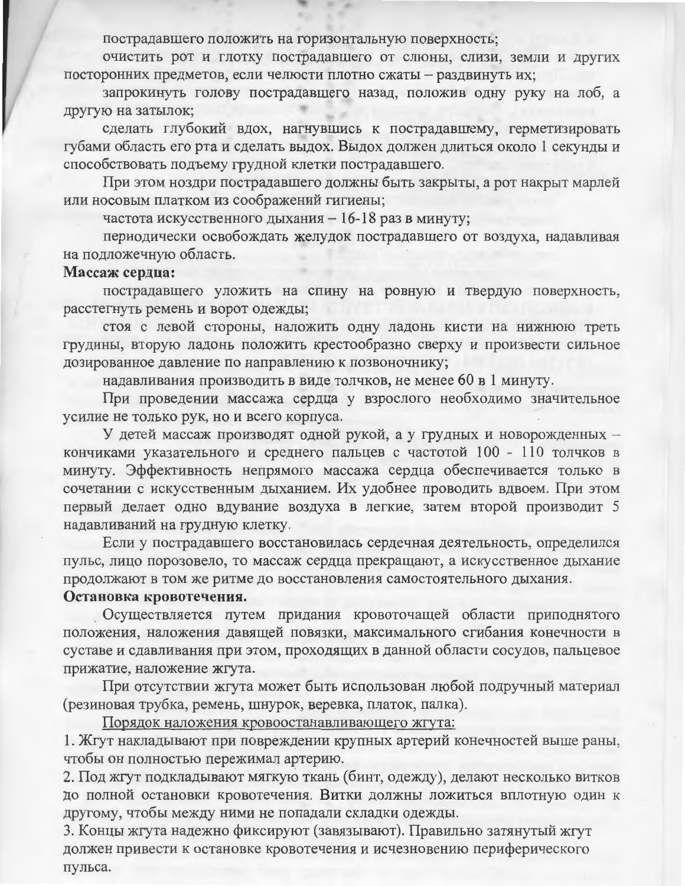пострадавшего положить на горизонтальную поверхность;

очистить рот и глотку пострадавшего от слюны, слизи, земли и других посторонних предметов, если челюсти плотно сжаты - раздвинуть их;

запрокинуть голову пострадавшего назад, положив одну руку на лоб, а другую на затылок;

сделать глубокий вдох, нагнувшись к пострадавшему, герметизировать губами область его рта и сделать выдох. Выдох должен длиться около 1 секунды и способствовать подъему грудной клетки пострадавшего.

При этом ноздри пострадавшего должны быть закрыты, а рот накрыт марлей или носовым платком из соображений гигиены;

частота искусственного дыхания - 16-18 раз в минуту;

периодически освобождать желудок пострадавшего от воздуха, надавливая на подложечную область.

#### Массаж сердца:

пострадавшего уложить на спину на ровную и твердую поверхность, расстегнуть ремень и ворот одежды;

стоя с левой стороны, наложить одну ладонь кисти на нижнюю треть грудины, вторую ладонь положить крестообразно сверху и произвести сильное дозированное давление по направлению к позвоночнику;

надавливания производить в виде толчков, не менее 60 в 1 минуту.

При проведении массажа сердца у взрослого необходимо значительное усилие не только рук, но и всего корпуса.

У детей массаж производят одной рукой, а у грудных и новорожденных кончиками указательного и среднего пальцев с частотой 100 - 110 толчков в минуту. Эффективность непрямого массажа сердца обеспечивается только в сочетании с искусственным дыханием. Их удобнее проводить вдвоем. При этом первый делает одно вдувание воздуха в легкие, затем второй производит 5 надавливаний на грудную клетку.

Если у пострадавшего восстановилась сердечная деятельность, определился пульс, лицо порозовело, то массаж сердца прекращают, а искусственное дыхание продолжают в том же ритме до восстановления самостоятельного дыхания.

#### Остановка кровотечения.

Осуществляется путем придания кровоточащей области приподнятого положения, наложения давящей повязки, максимального сгибания конечности в суставе и сдавливания при этом, проходящих в данной области сосудов, пальцевое прижатие, наложение жгута.

При отсутствии жгута может быть использован любой подручный материал (резиновая трубка, ремень, шнурок, веревка, платок, палка).

Порядок наложения кровоостанавливающего жгута:

1. Жгут накладывают при повреждении крупных артерий конечностей выше раны, чтобы он полностью пережимал артерию.

2. Под жгут подкладывают мягкую ткань (бинт, одежду), делают несколько витков до полной остановки кровотечения. Витки должны ложиться вплотную один к другому, чтобы между ними не попадали складки одежды.

3. Концы жгута надежно фиксируют (завязывают). Правильно затянутый жгут должен привести к остановке кровотечения и исчезновению периферического пульса.